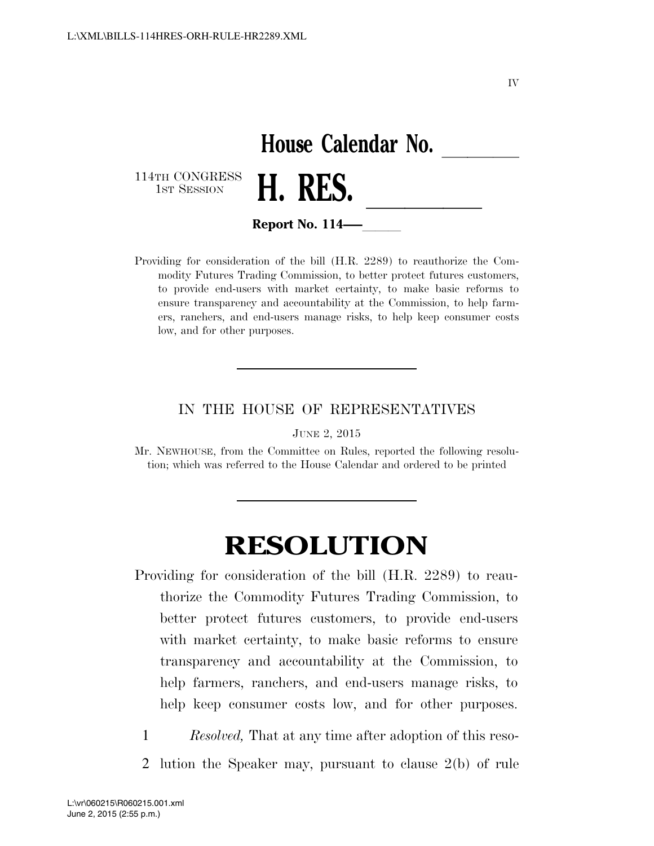## House Calendar No.<br>**H. RES.** 114TH CONGRESS<br>1st Session 1st SESSION **H. KES. Report No. 114**

Providing for consideration of the bill (H.R. 2289) to reauthorize the Commodity Futures Trading Commission, to better protect futures customers, to provide end-users with market certainty, to make basic reforms to ensure transparency and accountability at the Commission, to help farmers, ranchers, and end-users manage risks, to help keep consumer costs low, and for other purposes.

**Report No. 114—–** 

## IN THE HOUSE OF REPRESENTATIVES

JUNE 2, 2015

Mr. NEWHOUSE, from the Committee on Rules, reported the following resolution; which was referred to the House Calendar and ordered to be printed

## **RESOLUTION**

- Providing for consideration of the bill (H.R. 2289) to reauthorize the Commodity Futures Trading Commission, to better protect futures customers, to provide end-users with market certainty, to make basic reforms to ensure transparency and accountability at the Commission, to help farmers, ranchers, and end-users manage risks, to help keep consumer costs low, and for other purposes.
- 1 *Resolved,* That at any time after adoption of this reso-2 lution the Speaker may, pursuant to clause 2(b) of rule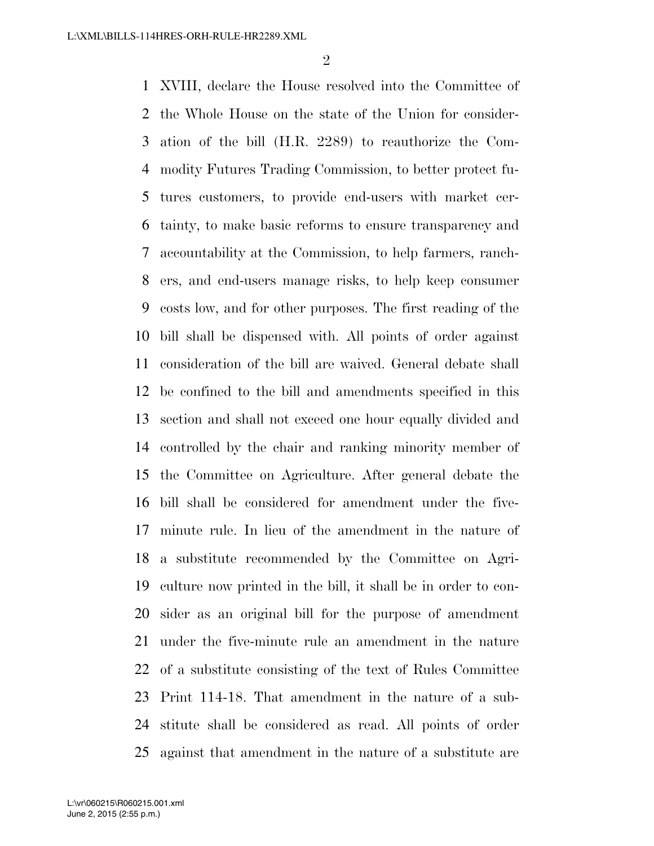XVIII, declare the House resolved into the Committee of the Whole House on the state of the Union for consider- ation of the bill (H.R. 2289) to reauthorize the Com- modity Futures Trading Commission, to better protect fu- tures customers, to provide end-users with market cer- tainty, to make basic reforms to ensure transparency and accountability at the Commission, to help farmers, ranch- ers, and end-users manage risks, to help keep consumer costs low, and for other purposes. The first reading of the bill shall be dispensed with. All points of order against consideration of the bill are waived. General debate shall be confined to the bill and amendments specified in this section and shall not exceed one hour equally divided and controlled by the chair and ranking minority member of the Committee on Agriculture. After general debate the bill shall be considered for amendment under the five- minute rule. In lieu of the amendment in the nature of a substitute recommended by the Committee on Agri- culture now printed in the bill, it shall be in order to con- sider as an original bill for the purpose of amendment under the five-minute rule an amendment in the nature of a substitute consisting of the text of Rules Committee Print 114-18. That amendment in the nature of a sub- stitute shall be considered as read. All points of order against that amendment in the nature of a substitute are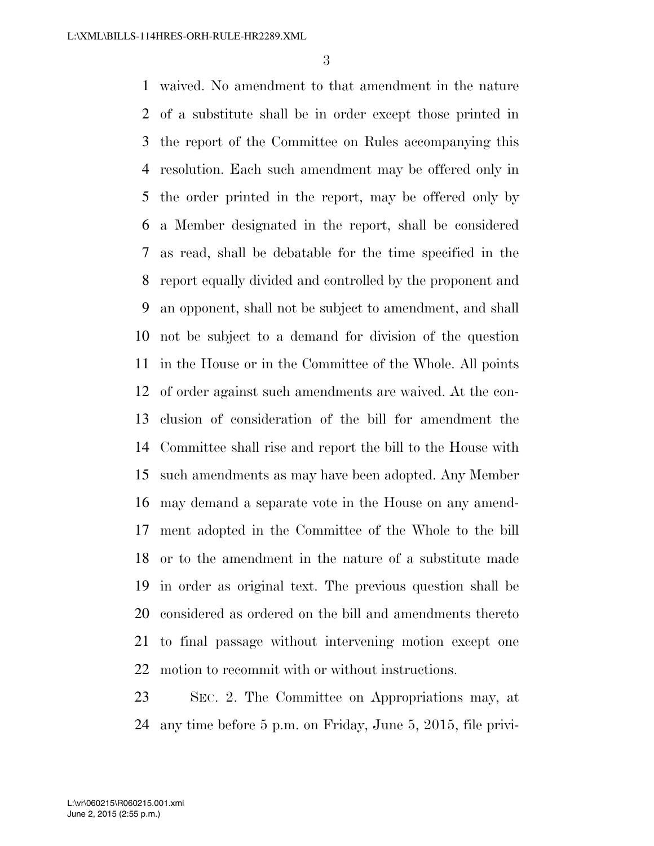waived. No amendment to that amendment in the nature of a substitute shall be in order except those printed in the report of the Committee on Rules accompanying this resolution. Each such amendment may be offered only in the order printed in the report, may be offered only by a Member designated in the report, shall be considered as read, shall be debatable for the time specified in the report equally divided and controlled by the proponent and an opponent, shall not be subject to amendment, and shall not be subject to a demand for division of the question in the House or in the Committee of the Whole. All points of order against such amendments are waived. At the con- clusion of consideration of the bill for amendment the Committee shall rise and report the bill to the House with such amendments as may have been adopted. Any Member may demand a separate vote in the House on any amend- ment adopted in the Committee of the Whole to the bill or to the amendment in the nature of a substitute made in order as original text. The previous question shall be considered as ordered on the bill and amendments thereto to final passage without intervening motion except one motion to recommit with or without instructions.

 SEC. 2. The Committee on Appropriations may, at any time before 5 p.m. on Friday, June 5, 2015, file privi-